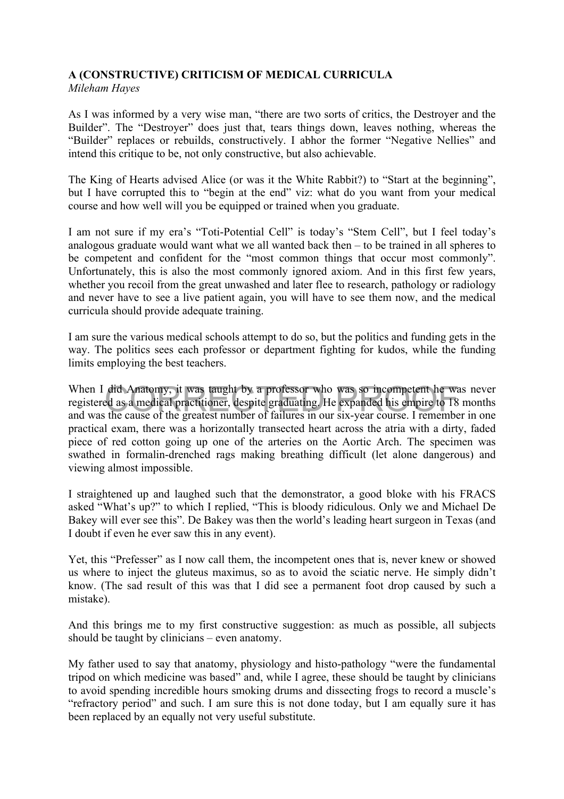## **A (CONSTRUCTIVE) CRITICISM OF MEDICAL CURRICULA**

*Mileham Hayes* 

As I was informed by a very wise man, "there are two sorts of critics, the Destroyer and the Builder". The "Destroyer" does just that, tears things down, leaves nothing, whereas the "Builder" replaces or rebuilds, constructively. I abhor the former "Negative Nellies" and intend this critique to be, not only constructive, but also achievable.

The King of Hearts advised Alice (or was it the White Rabbit?) to "Start at the beginning", but I have corrupted this to "begin at the end" viz: what do you want from your medical course and how well will you be equipped or trained when you graduate.

I am not sure if my era's "Toti-Potential Cell" is today's "Stem Cell", but I feel today's analogous graduate would want what we all wanted back then – to be trained in all spheres to be competent and confident for the "most common things that occur most commonly". Unfortunately, this is also the most commonly ignored axiom. And in this first few years, whether you recoil from the great unwashed and later flee to research, pathology or radiology and never have to see a live patient again, you will have to see them now, and the medical curricula should provide adequate training.

I am sure the various medical schools attempt to do so, but the politics and funding gets in the way. The politics sees each professor or department fighting for kudos, while the funding limits employing the best teachers.

When I did Anatomy, it was taught by a professor who was so incompetent he was never<br>registered as a medical practitioner, despite graduating. He expanded his empire to 18 months<br>and was the cause of the greatest number of When I did Anatomy, it was taught by a professor who was so incompetent he was never registered as a medical practitioner, despite graduating. He expanded his empire to 18 months practical exam, there was a horizontally transected heart across the atria with a dirty, faded piece of red cotton going up one of the arteries on the Aortic Arch. The specimen was swathed in formalin-drenched rags making breathing difficult (let alone dangerous) and viewing almost impossible.

I straightened up and laughed such that the demonstrator, a good bloke with his FRACS asked "What's up?" to which I replied, "This is bloody ridiculous. Only we and Michael De Bakey will ever see this". De Bakey was then the world's leading heart surgeon in Texas (and I doubt if even he ever saw this in any event).

Yet, this "Prefesser" as I now call them, the incompetent ones that is, never knew or showed us where to inject the gluteus maximus, so as to avoid the sciatic nerve. He simply didn't know. (The sad result of this was that I did see a permanent foot drop caused by such a mistake).

And this brings me to my first constructive suggestion: as much as possible, all subjects should be taught by clinicians – even anatomy.

My father used to say that anatomy, physiology and histo-pathology "were the fundamental tripod on which medicine was based" and, while I agree, these should be taught by clinicians to avoid spending incredible hours smoking drums and dissecting frogs to record a muscle's "refractory period" and such. I am sure this is not done today, but I am equally sure it has been replaced by an equally not very useful substitute.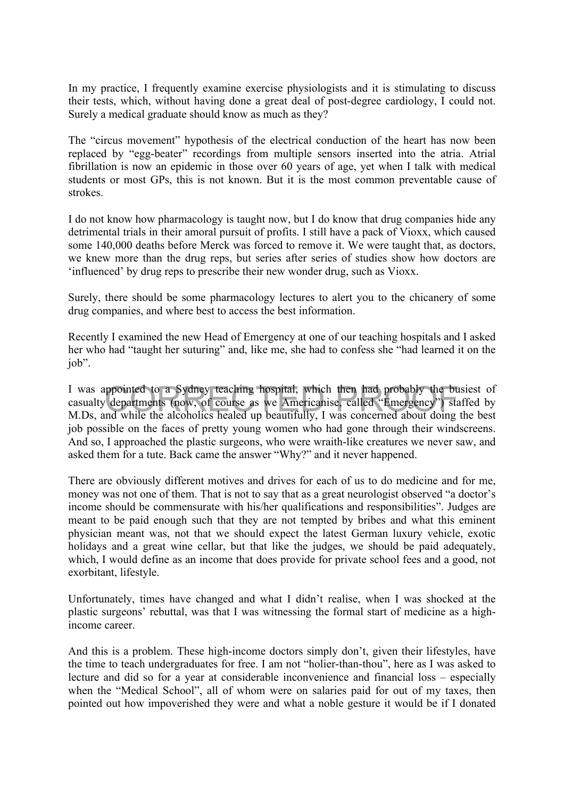In my practice, I frequently examine exercise physiologists and it is stimulating to discuss their tests, which, without having done a great deal of post-degree cardiology, I could not. Surely a medical graduate should know as much as they?

The "circus movement" hypothesis of the electrical conduction of the heart has now been replaced by "egg-beater" recordings from multiple sensors inserted into the atria. Atrial fibrillation is now an epidemic in those over 60 years of age, yet when I talk with medical students or most GPs, this is not known. But it is the most common preventable cause of strokes.

I do not know how pharmacology is taught now, but I do know that drug companies hide any detrimental trials in their amoral pursuit of profits. I still have a pack of Vioxx, which caused some 140,000 deaths before Merck was forced to remove it. We were taught that, as doctors, we knew more than the drug reps, but series after series of studies show how doctors are 'influenced' by drug reps to prescribe their new wonder drug, such as Vioxx.

Surely, there should be some pharmacology lectures to alert you to the chicanery of some drug companies, and where best to access the best information.

Recently I examined the new Head of Emergency at one of our teaching hospitals and I asked her who had "taught her suturing" and, like me, she had to confess she "had learned it on the job".

ppointed to a Sydney teaching hospital, which then had probably the bu<br>departments (now, of course as we Americanise, called "Emergency") stand while the alcoholics healed up beautifully. I was concerned about doing I was appointed to a Sydney teaching hospital, which then had probably the busiest of casualty departments (now, of course as we Americanise, called "Emergency") staffed by M.Ds, and while the alcoholics healed up beautifully, I was concerned about doing the best job possible on the faces of pretty young women who had gone through their windscreens. And so, I approached the plastic surgeons, who were wraith-like creatures we never saw, and asked them for a tute. Back came the answer "Why?" and it never happened.

There are obviously different motives and drives for each of us to do medicine and for me, money was not one of them. That is not to say that as a great neurologist observed "a doctor's income should be commensurate with his/her qualifications and responsibilities". Judges are meant to be paid enough such that they are not tempted by bribes and what this eminent physician meant was, not that we should expect the latest German luxury vehicle, exotic holidays and a great wine cellar, but that like the judges, we should be paid adequately, which. I would define as an income that does provide for private school fees and a good, not exorbitant, lifestyle.

Unfortunately, times have changed and what I didn't realise, when I was shocked at the plastic surgeons' rebuttal, was that I was witnessing the formal start of medicine as a highincome career.

And this is a problem. These high-income doctors simply don't, given their lifestyles, have the time to teach undergraduates for free. I am not "holier-than-thou", here as I was asked to lecture and did so for a year at considerable inconvenience and financial loss – especially when the "Medical School", all of whom were on salaries paid for out of my taxes, then pointed out how impoverished they were and what a noble gesture it would be if I donated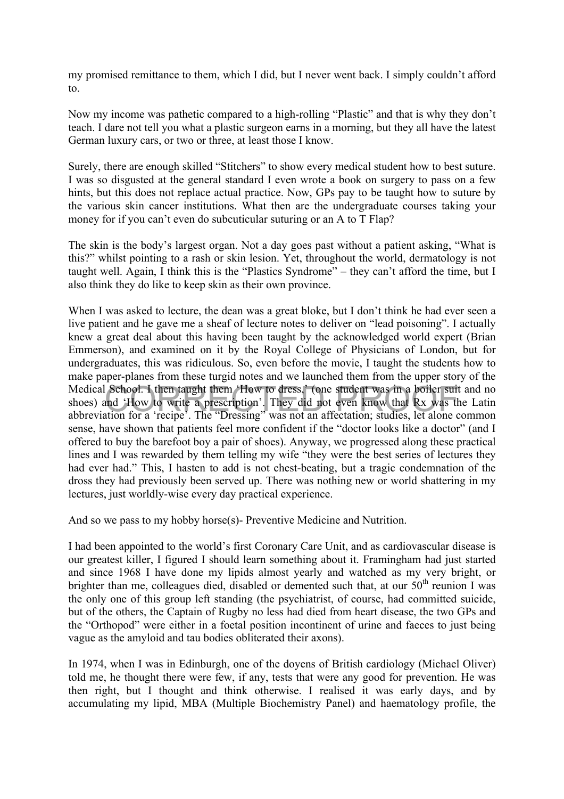my promised remittance to them, which I did, but I never went back. I simply couldn't afford to.

Now my income was pathetic compared to a high-rolling "Plastic" and that is why they don't teach. I dare not tell you what a plastic surgeon earns in a morning, but they all have the latest German luxury cars, or two or three, at least those I know.

Surely, there are enough skilled "Stitchers" to show every medical student how to best suture. I was so disgusted at the general standard I even wrote a book on surgery to pass on a few hints, but this does not replace actual practice. Now, GPs pay to be taught how to suture by the various skin cancer institutions. What then are the undergraduate courses taking your money for if you can't even do subcuticular suturing or an A to T Flap?

The skin is the body's largest organ. Not a day goes past without a patient asking, "What is this?" whilst pointing to a rash or skin lesion. Yet, throughout the world, dermatology is not taught well. Again, I think this is the "Plastics Syndrome" – they can't afford the time, but I also think they do like to keep skin as their own province.

Medical School. I then taught them 'How to dress,' (one student was in a boiler suit and no shoes) and 'How to write a prescription'. They did not even know that Rx was the Latin abbreviation for a 'recipe'. The "Dressing" When I was asked to lecture, the dean was a great bloke, but I don't think he had ever seen a live patient and he gave me a sheaf of lecture notes to deliver on "lead poisoning". I actually knew a great deal about this having been taught by the acknowledged world expert (Brian Emmerson), and examined on it by the Royal College of Physicians of London, but for undergraduates, this was ridiculous. So, even before the movie, I taught the students how to make paper-planes from these turgid notes and we launched them from the upper story of the Medical School. I then taught them 'How to dress,' (one student was in a boiler suit and no shoes) and 'How to write a prescription'. They did not even know that Rx was the Latin sense, have shown that patients feel more confident if the "doctor looks like a doctor" (and I offered to buy the barefoot boy a pair of shoes). Anyway, we progressed along these practical lines and I was rewarded by them telling my wife "they were the best series of lectures they had ever had." This, I hasten to add is not chest-beating, but a tragic condemnation of the dross they had previously been served up. There was nothing new or world shattering in my lectures, just worldly-wise every day practical experience.

And so we pass to my hobby horse(s)- Preventive Medicine and Nutrition.

I had been appointed to the world's first Coronary Care Unit, and as cardiovascular disease is our greatest killer, I figured I should learn something about it. Framingham had just started and since 1968 I have done my lipids almost yearly and watched as my very bright, or brighter than me, colleagues died, disabled or demented such that, at our  $50<sup>th</sup>$  reunion I was the only one of this group left standing (the psychiatrist, of course, had committed suicide, but of the others, the Captain of Rugby no less had died from heart disease, the two GPs and the "Orthopod" were either in a foetal position incontinent of urine and faeces to just being vague as the amyloid and tau bodies obliterated their axons).

In 1974, when I was in Edinburgh, one of the doyens of British cardiology (Michael Oliver) told me, he thought there were few, if any, tests that were any good for prevention. He was then right, but I thought and think otherwise. I realised it was early days, and by accumulating my lipid, MBA (Multiple Biochemistry Panel) and haematology profile, the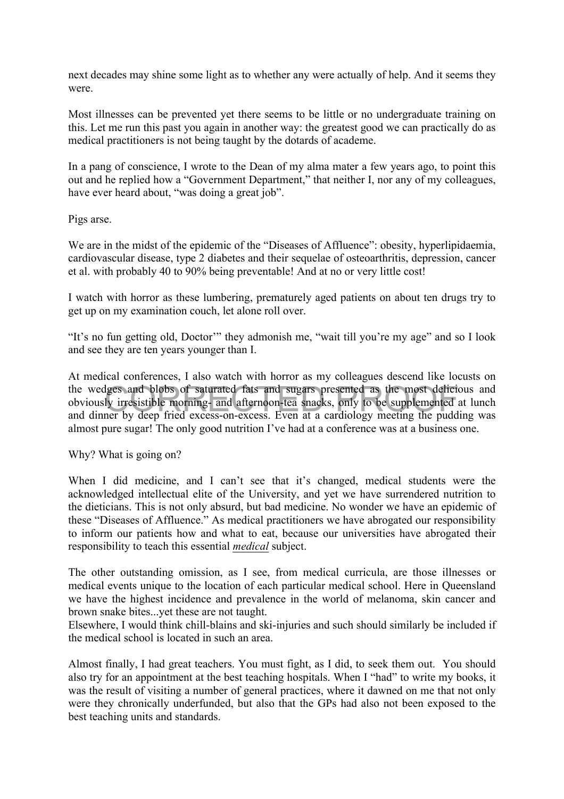next decades may shine some light as to whether any were actually of help. And it seems they were.

Most illnesses can be prevented yet there seems to be little or no undergraduate training on this. Let me run this past you again in another way: the greatest good we can practically do as medical practitioners is not being taught by the dotards of academe.

In a pang of conscience, I wrote to the Dean of my alma mater a few years ago, to point this out and he replied how a "Government Department," that neither I, nor any of my colleagues, have ever heard about, "was doing a great job".

Pigs arse.

We are in the midst of the epidemic of the "Diseases of Affluence": obesity, hyperlipidaemia, cardiovascular disease, type 2 diabetes and their sequelae of osteoarthritis, depression, cancer et al. with probably 40 to 90% being preventable! And at no or very little cost!

I watch with horror as these lumbering, prematurely aged patients on about ten drugs try to get up on my examination couch, let alone roll over.

"It's no fun getting old, Doctor'" they admonish me, "wait till you're my age" and so I look and see they are ten years younger than I.

lges and blobs of saturated fats and sugars presented as the most delicity<br>if irresistible morning- and afternoon-tea snacks, only to be supplemented a<br>ner by deep fried excess-on-excess. Even at a cardiology meeting the p At medical conferences, I also watch with horror as my colleagues descend like locusts on the wedges and blobs of saturated fats and sugars presented as the most delicious and obviously irresistible morning- and afternoon-tea snacks, only to be supplemented at lunch and dinner by deep fried excess-on-excess. Even at a cardiology meeting the pudding was almost pure sugar! The only good nutrition I've had at a conference was at a business one.

## Why? What is going on?

When I did medicine, and I can't see that it's changed, medical students were the acknowledged intellectual elite of the University, and yet we have surrendered nutrition to the dieticians. This is not only absurd, but bad medicine. No wonder we have an epidemic of these "Diseases of Affluence." As medical practitioners we have abrogated our responsibility to inform our patients how and what to eat, because our universities have abrogated their responsibility to teach this essential *medical* subject.

The other outstanding omission, as I see, from medical curricula, are those illnesses or medical events unique to the location of each particular medical school. Here in Queensland we have the highest incidence and prevalence in the world of melanoma, skin cancer and brown snake bites...yet these are not taught.

Elsewhere, I would think chill-blains and ski-injuries and such should similarly be included if the medical school is located in such an area.

Almost finally, I had great teachers. You must fight, as I did, to seek them out. You should also try for an appointment at the best teaching hospitals. When I "had" to write my books, it was the result of visiting a number of general practices, where it dawned on me that not only were they chronically underfunded, but also that the GPs had also not been exposed to the best teaching units and standards.